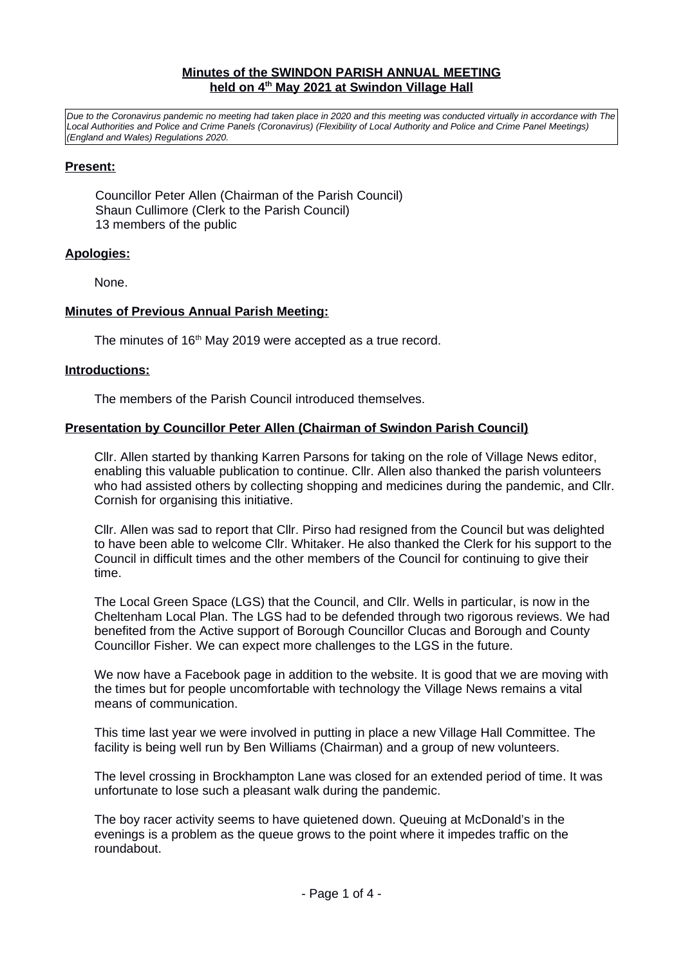#### **Minutes of the SWINDON PARISH ANNUAL MEETING held on 4th May 20 21 at Swindon Village Hall**

*Due to the Coronavirus pandemic no meeting had taken place in 2020 and this meeting was conducted virtually in accordance with The Local Authorities and Police and Crime Panels (Coronavirus) (Flexibility of Local Authority and Police and Crime Panel Meetings) (England and Wales) Regulations 2020.*

### **Present:**

Councillor Peter Allen (Chairman of the Parish Council) Shaun Cullimore (Clerk to the Parish Council) 13 members of the public

### **Apologies:**

None.

### **Minutes of Previous Annual Parish Meeting:**

The minutes of 16<sup>th</sup> May 2019 were accepted as a true record.

### **Introductions:**

The members of the Parish Council introduced themselves.

### **Presentation by Councillor Peter Allen (Chairman of Swindon Parish Council)**

Cllr. Allen started by thanking Karren Parsons for taking on the role of Village News editor, enabling this valuable publication to continue. Cllr. Allen also thanked the parish volunteers who had assisted others by collecting shopping and medicines during the pandemic, and Cllr. Cornish for organising this initiative.

Cllr. Allen was sad to report that Cllr. Pirso had resigned from the Council but was delighted to have been able to welcome Cllr. Whitaker. He also thanked the Clerk for his support to the Council in difficult times and the other members of the Council for continuing to give their time.

The Local Green Space (LGS) that the Council, and Cllr. Wells in particular, is now in the Cheltenham Local Plan. The LGS had to be defended through two rigorous reviews. We had benefited from the Active support of Borough Councillor Clucas and Borough and County Councillor Fisher. We can expect more challenges to the LGS in the future.

We now have a Facebook page in addition to the website. It is good that we are moving with the times but for people uncomfortable with technology the Village News remains a vital means of communication.

This time last year we were involved in putting in place a new Village Hall Committee. The facility is being well run by Ben Williams (Chairman) and a group of new volunteers.

The level crossing in Brockhampton Lane was closed for an extended period of time. It was unfortunate to lose such a pleasant walk during the pandemic.

The boy racer activity seems to have quietened down. Queuing at McDonald's in the evenings is a problem as the queue grows to the point where it impedes traffic on the roundabout.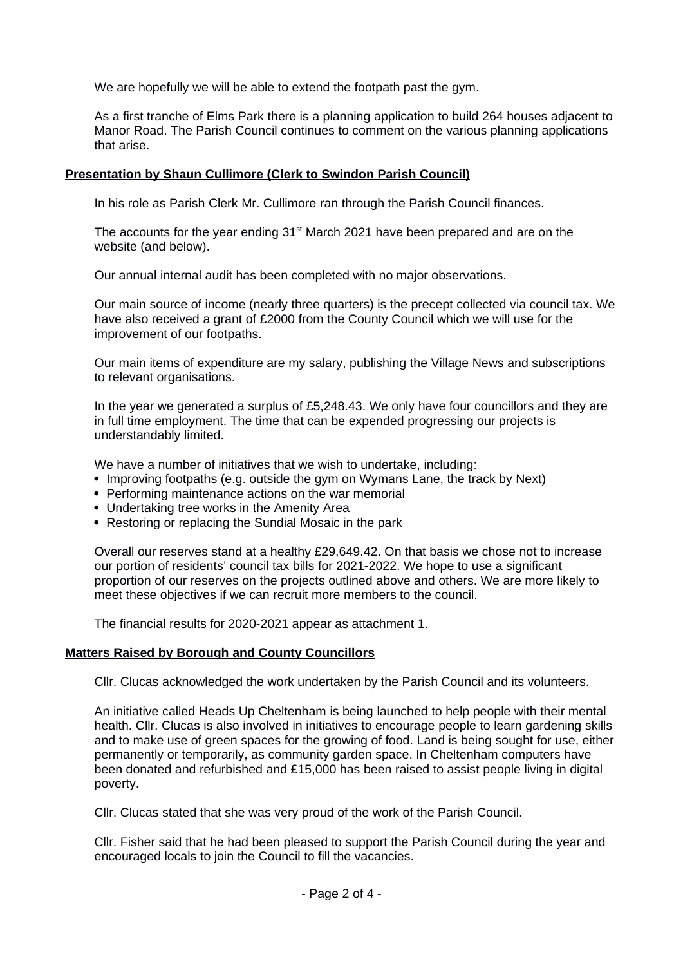We are hopefully we will be able to extend the footpath past the gym.

As a first tranche of Elms Park there is a planning application to build 264 houses adjacent to Manor Road. The Parish Council continues to comment on the various planning applications that arise.

## **Presentation by Shaun Cullimore (Clerk to Swindon Parish Council)**

In his role as Parish Clerk Mr. Cullimore ran through the Parish Council finances.

The accounts for the year ending  $31<sup>st</sup>$  March 2021 have been prepared and are on the website (and below).

Our annual internal audit has been completed with no major observations.

Our main source of income (nearly three quarters) is the precept collected via council tax. We have also received a grant of £2000 from the County Council which we will use for the improvement of our footpaths.

Our main items of expenditure are my salary, publishing the Village News and subscriptions to relevant organisations.

In the year we generated a surplus of £5,248.43. We only have four councillors and they are in full time employment. The time that can be expended progressing our projects is understandably limited.

We have a number of initiatives that we wish to undertake, including:

- Improving footpaths (e.g. outside the gym on Wymans Lane, the track by Next)
- Performing maintenance actions on the war memorial
- Undertaking tree works in the Amenity Area
- Restoring or replacing the Sundial Mosaic in the park

Overall our reserves stand at a healthy £29,649.42. On that basis we chose not to increase our portion of residents' council tax bills for 2021-2022. We hope to use a significant proportion of our reserves on the projects outlined above and others. We are more likely to meet these objectives if we can recruit more members to the council.

The financial results for 2020-2021 appear as attachment 1.

## **Matters Raised by Borough and County Councillors**

Cllr. Clucas acknowledged the work undertaken by the Parish Council and its volunteers.

An initiative called Heads Up Cheltenham is being launched to help people with their mental health. Cllr. Clucas is also involved in initiatives to encourage people to learn gardening skills and to make use of green spaces for the growing of food. Land is being sought for use, either permanently or temporarily, as community garden space. In Cheltenham computers have been donated and refurbished and £15,000 has been raised to assist people living in digital poverty.

Cllr. Clucas stated that she was very proud of the work of the Parish Council.

Cllr. Fisher said that he had been pleased to support the Parish Council during the year and encouraged locals to join the Council to fill the vacancies.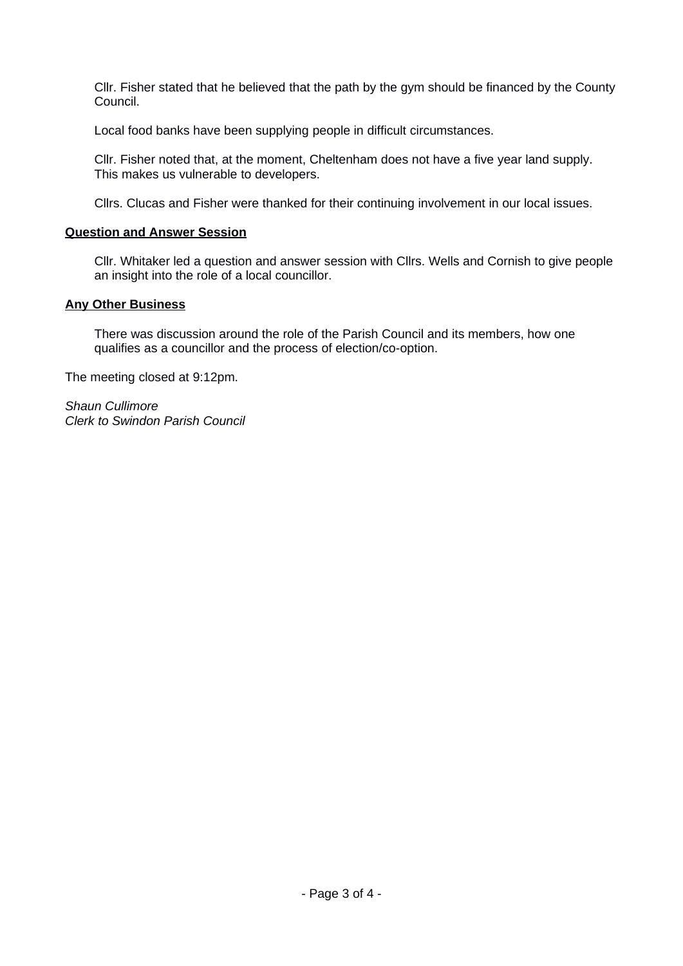Cllr. Fisher stated that he believed that the path by the gym should be financed by the County Council.

Local food banks have been supplying people in difficult circumstances.

Cllr. Fisher noted that, at the moment, Cheltenham does not have a five year land supply. This makes us vulnerable to developers.

Cllrs. Clucas and Fisher were thanked for their continuing involvement in our local issues.

## **Question and Answer Session**

Cllr. Whitaker led a question and answer session with Cllrs. Wells and Cornish to give people an insight into the role of a local councillor.

### **Any Other Business**

There was discussion around the role of the Parish Council and its members, how one qualifies as a councillor and the process of election/co-option.

The meeting closed at 9:12pm.

*Shaun Cullimore Clerk to Swindon Parish Council*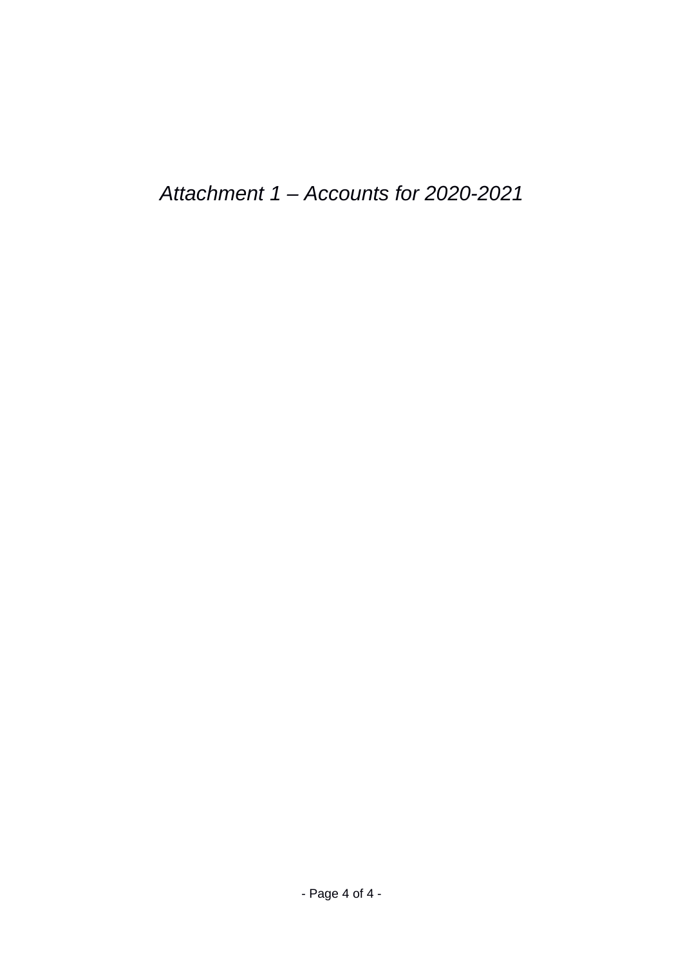*Attachment 1 – Accounts for 2020-2021*